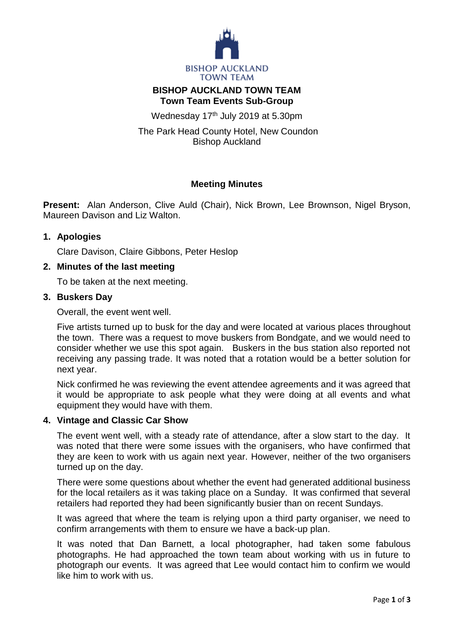

# **BISHOP AUCKLAND TOWN TEAM Town Team Events Sub-Group**

Wednesday 17<sup>th</sup> July 2019 at 5.30pm

The Park Head County Hotel, New Coundon Bishop Auckland

# **Meeting Minutes**

**Present:** Alan Anderson, Clive Auld (Chair), Nick Brown, Lee Brownson, Nigel Bryson, Maureen Davison and Liz Walton.

## **1. Apologies**

Clare Davison, Claire Gibbons, Peter Heslop

### **2. Minutes of the last meeting**

To be taken at the next meeting.

### **3. Buskers Day**

Overall, the event went well.

Five artists turned up to busk for the day and were located at various places throughout the town. There was a request to move buskers from Bondgate, and we would need to consider whether we use this spot again. Buskers in the bus station also reported not receiving any passing trade. It was noted that a rotation would be a better solution for next year.

Nick confirmed he was reviewing the event attendee agreements and it was agreed that it would be appropriate to ask people what they were doing at all events and what equipment they would have with them.

## **4. Vintage and Classic Car Show**

The event went well, with a steady rate of attendance, after a slow start to the day. It was noted that there were some issues with the organisers, who have confirmed that they are keen to work with us again next year. However, neither of the two organisers turned up on the day.

There were some questions about whether the event had generated additional business for the local retailers as it was taking place on a Sunday. It was confirmed that several retailers had reported they had been significantly busier than on recent Sundays.

It was agreed that where the team is relying upon a third party organiser, we need to confirm arrangements with them to ensure we have a back-up plan.

It was noted that Dan Barnett, a local photographer, had taken some fabulous photographs. He had approached the town team about working with us in future to photograph our events. It was agreed that Lee would contact him to confirm we would like him to work with us.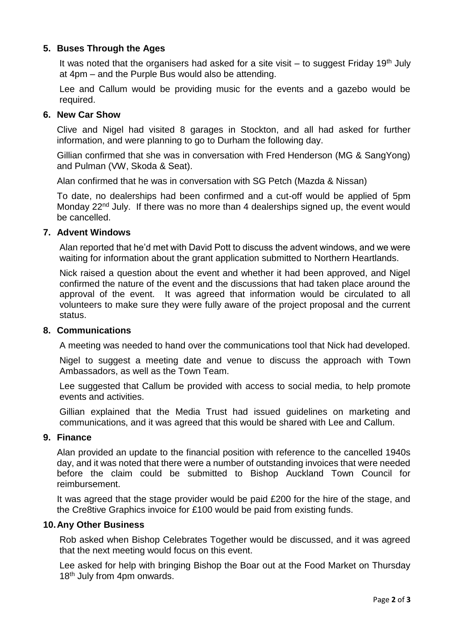## **5. Buses Through the Ages**

It was noted that the organisers had asked for a site visit  $-$  to suggest Friday 19<sup>th</sup> July at 4pm – and the Purple Bus would also be attending.

Lee and Callum would be providing music for the events and a gazebo would be required.

### **6. New Car Show**

Clive and Nigel had visited 8 garages in Stockton, and all had asked for further information, and were planning to go to Durham the following day.

Gillian confirmed that she was in conversation with Fred Henderson (MG & SangYong) and Pulman (VW, Skoda & Seat).

Alan confirmed that he was in conversation with SG Petch (Mazda & Nissan)

To date, no dealerships had been confirmed and a cut-off would be applied of 5pm Monday 22<sup>nd</sup> July. If there was no more than 4 dealerships signed up, the event would be cancelled.

#### **7. Advent Windows**

Alan reported that he'd met with David Pott to discuss the advent windows, and we were waiting for information about the grant application submitted to Northern Heartlands.

Nick raised a question about the event and whether it had been approved, and Nigel confirmed the nature of the event and the discussions that had taken place around the approval of the event. It was agreed that information would be circulated to all volunteers to make sure they were fully aware of the project proposal and the current status.

#### **8. Communications**

A meeting was needed to hand over the communications tool that Nick had developed.

Nigel to suggest a meeting date and venue to discuss the approach with Town Ambassadors, as well as the Town Team.

Lee suggested that Callum be provided with access to social media, to help promote events and activities.

Gillian explained that the Media Trust had issued guidelines on marketing and communications, and it was agreed that this would be shared with Lee and Callum.

#### **9. Finance**

Alan provided an update to the financial position with reference to the cancelled 1940s day, and it was noted that there were a number of outstanding invoices that were needed before the claim could be submitted to Bishop Auckland Town Council for reimbursement.

It was agreed that the stage provider would be paid £200 for the hire of the stage, and the Cre8tive Graphics invoice for £100 would be paid from existing funds.

#### **10.Any Other Business**

Rob asked when Bishop Celebrates Together would be discussed, and it was agreed that the next meeting would focus on this event.

Lee asked for help with bringing Bishop the Boar out at the Food Market on Thursday 18<sup>th</sup> July from 4pm onwards.